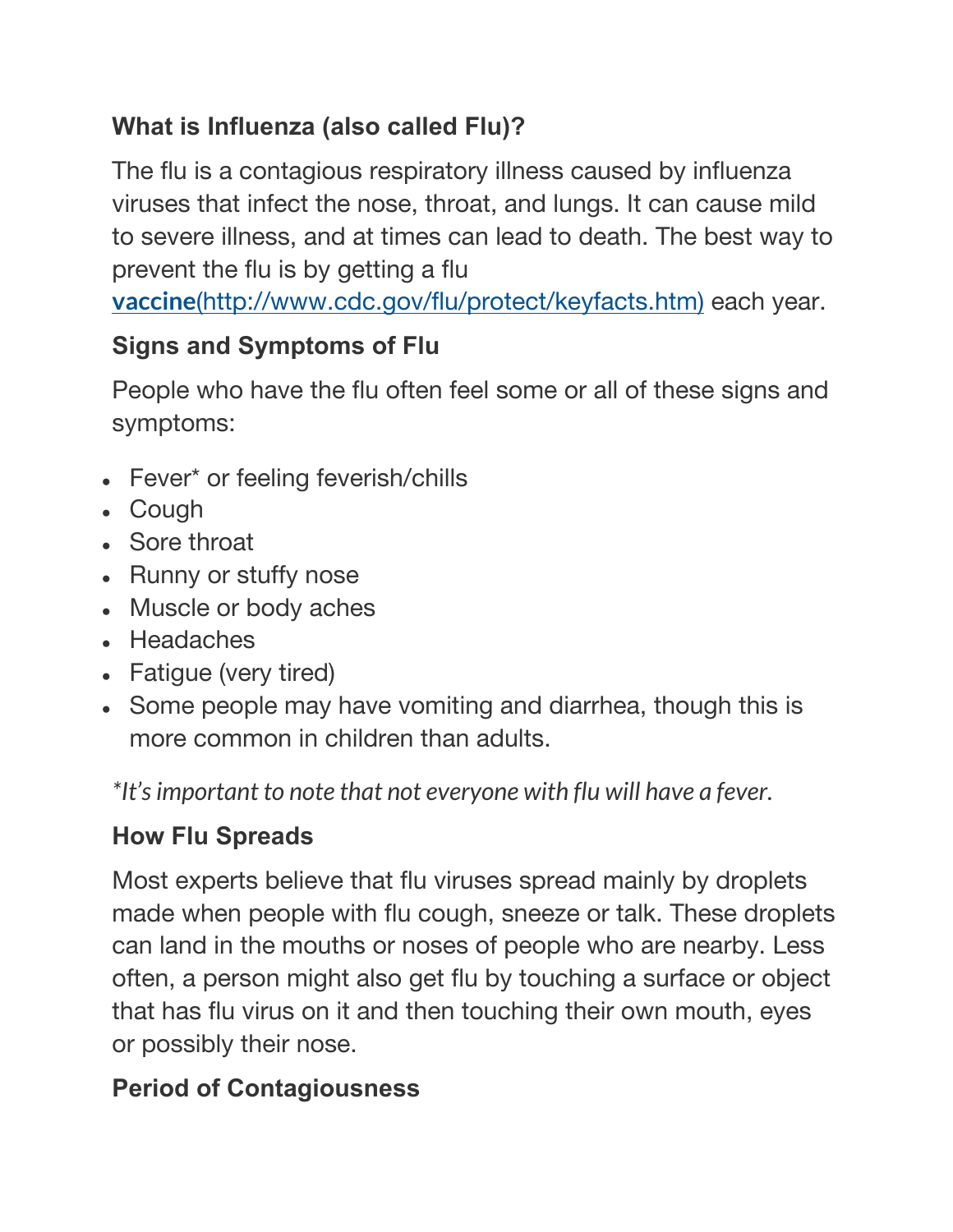### **What is Influenza (also called Flu)?**

The flu is a contagious respiratory illness caused by influenza viruses that infect the nose, throat, and lungs. It can cause mild to severe illness, and at times can lead to death. The best way to prevent the flu is by getting a flu

**[vaccine](http://www.cdc.gov/flu/protect/keyfacts.htm)**[\(http://www.cdc.gov/flu/protect/keyfacts.htm\)](http://www.cdc.gov/flu/protect/keyfacts.htm) each year.

### **Signs and Symptoms of Flu**

People who have the flu often feel some or all of these signs and symptoms:

- Fever\* or feeling feverish/chills
- Cough
- Sore throat
- Runny or stuffy nose
- Muscle or body aches
- Headaches
- Fatigue (very tired)
- Some people may have vomiting and diarrhea, though this is more common in children than adults.

*\*It'simportant to note that not everyone with flu will have a fever.*

#### **How Flu Spreads**

Most experts believe that flu viruses spread mainly by droplets made when people with flu cough, sneeze or talk. These droplets can land in the mouths or noses of people who are nearby. Less often, a person might also get flu by touching a surface or object that has flu virus on it and then touching their own mouth, eyes or possibly their nose.

#### **Period of Contagiousness**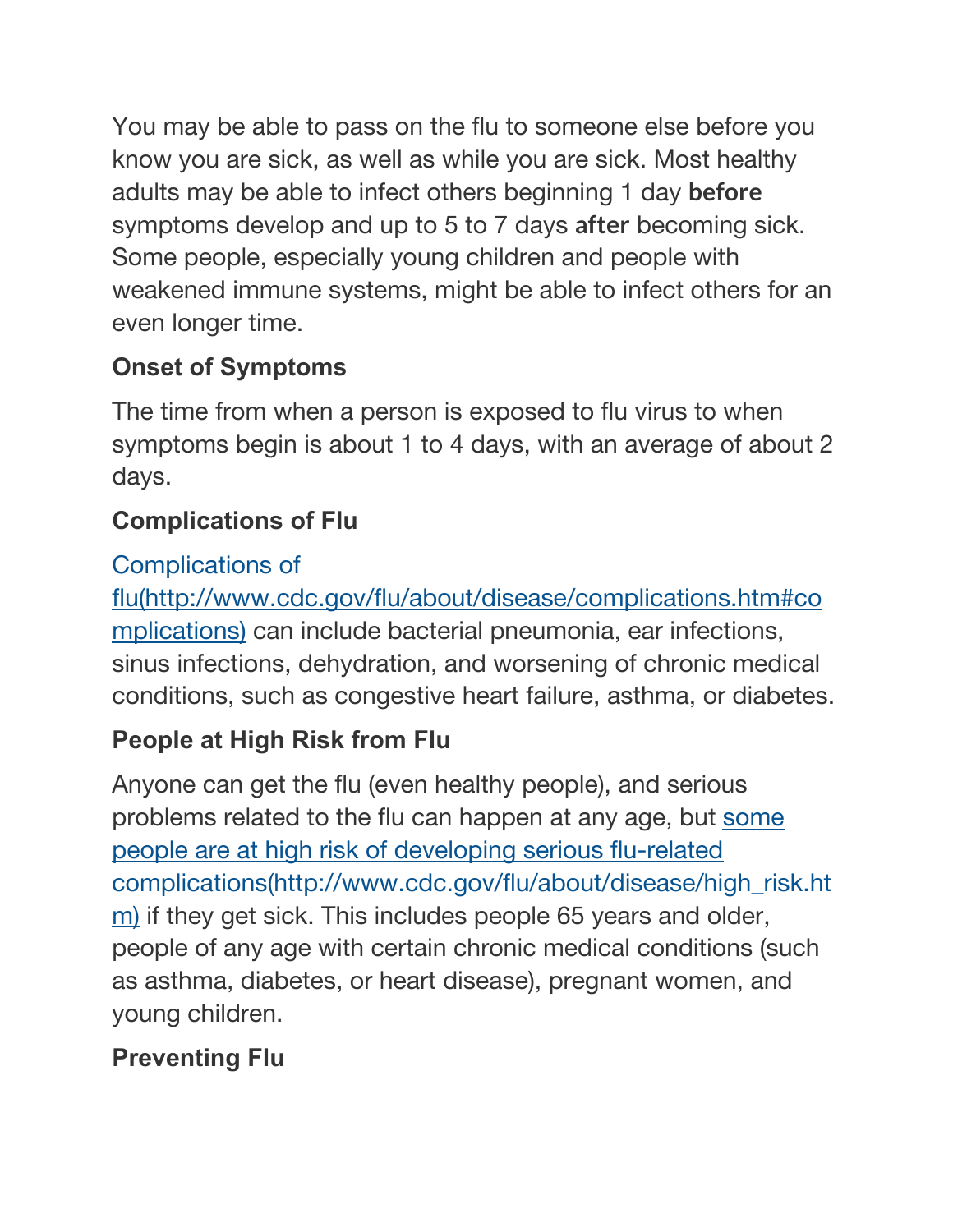You may be able to pass on the flu to someone else before you know you are sick, as well as while you are sick. Most healthy adults may be able to infect others beginning 1 day **before** symptoms develop and up to 5 to 7 days **after** becoming sick. Some people, especially young children and people with weakened immune systems, might be able to infect others for an even longer time.

## **Onset of Symptoms**

The time from when a person is exposed to flu virus to when symptoms begin is about 1 to 4 days, with an average of about 2 days.

## **Complications of Flu**

### [Complications](http://www.cdc.gov/flu/about/disease/complications.htm#complications) of

[flu\(http://www.cdc.gov/flu/about/disease/complications.htm#co](http://www.cdc.gov/flu/about/disease/complications.htm#complications) [mplications\)](http://www.cdc.gov/flu/about/disease/complications.htm#complications) can include bacterial pneumonia, ear infections, sinus infections, dehydration, and worsening of chronic medical conditions, such as congestive heart failure, asthma, or diabetes.

# **People at High Risk from Flu**

Anyone can get the flu (even healthy people), and serious problems related to the flu can happen at any age, but [some](http://www.cdc.gov/flu/about/disease/high_risk.htm) people are at high risk of [developing](http://www.cdc.gov/flu/about/disease/high_risk.htm) serious flu-related [complications\(http://www.cdc.gov/flu/about/disease/high\\_risk.ht](http://www.cdc.gov/flu/about/disease/high_risk.htm) [m\)](http://www.cdc.gov/flu/about/disease/high_risk.htm) if they get sick. This includes people 65 years and older, people of any age with certain chronic medical conditions (such as asthma, diabetes, or heart disease), pregnant women, and young children.

# **Preventing Flu**